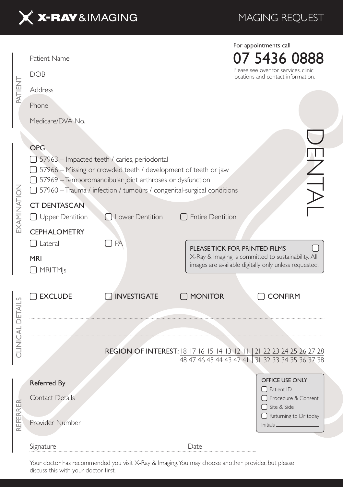

IMAGING REQUEST

| PATIENT          | Patient Name<br><b>DOB</b><br>Address                                                                                                                                                                                                                                                             |                      | For appointments call<br>07 5436 0888<br>Please see over for services, clinic<br>locations and contact information.                           |                                                                                                                        |  |  |  |
|------------------|---------------------------------------------------------------------------------------------------------------------------------------------------------------------------------------------------------------------------------------------------------------------------------------------------|----------------------|-----------------------------------------------------------------------------------------------------------------------------------------------|------------------------------------------------------------------------------------------------------------------------|--|--|--|
|                  | Phone                                                                                                                                                                                                                                                                                             |                      |                                                                                                                                               |                                                                                                                        |  |  |  |
|                  | Medicare/DVA No.                                                                                                                                                                                                                                                                                  |                      |                                                                                                                                               |                                                                                                                        |  |  |  |
| EXAMINATION      | <b>OPG</b><br>□ 57963 - Impacted teeth / caries, periodontal<br>$\frac{1}{\sqrt{2}}$<br>□ 57966 – Missing or crowded teeth / development of teeth or jaw<br>□ 57969 - Temporomandibular joint arthroses or dysfunction<br>□ 57960 - Trauma / infection / tumours / congenital-surgical conditions |                      |                                                                                                                                               |                                                                                                                        |  |  |  |
|                  | <b>CT DENTASCAN</b>                                                                                                                                                                                                                                                                               |                      |                                                                                                                                               |                                                                                                                        |  |  |  |
|                  | □ Upper Dentition                                                                                                                                                                                                                                                                                 | Lower Dentition      | □ Entire Dentition                                                                                                                            |                                                                                                                        |  |  |  |
|                  | <b>CEPHALOMETRY</b><br>$\Box$ Lateral<br><b>MRI</b><br>O MRITMJs                                                                                                                                                                                                                                  | PA                   | PLEASE TICK FOR PRINTED FILMS<br>X-Ray & Imaging is committed to sustainability. All<br>images are available digitally only unless requested. |                                                                                                                        |  |  |  |
| CLINICAL DETAILS | <b>EXCLUDE</b>                                                                                                                                                                                                                                                                                    | <b>O INVESTIGATE</b> | O MONITOR                                                                                                                                     | <b>CONFIRM</b>                                                                                                         |  |  |  |
|                  |                                                                                                                                                                                                                                                                                                   |                      |                                                                                                                                               | REGION OF INTEREST: 18 17 16 15 14 13 12 11   21 22 23 24 25 26 27 28<br>48 47 46 45 44 43 42 4 3 32 33 34 35 36 37 38 |  |  |  |
| REFERRER         | Referred By                                                                                                                                                                                                                                                                                       |                      |                                                                                                                                               | OFFICE USE ONLY                                                                                                        |  |  |  |
|                  | Contact Details<br>Provider Number                                                                                                                                                                                                                                                                |                      |                                                                                                                                               | $\bigcap$ Patient ID<br>Procedure & Consent<br>□ Site & Side<br>$\Box$ Returning to Dr today<br>Initials_              |  |  |  |
|                  | Signature                                                                                                                                                                                                                                                                                         |                      | Date                                                                                                                                          |                                                                                                                        |  |  |  |

Your doctor has recommended you visit X-Ray & Imaging. You may choose another provider, but please discuss this with your doctor first.